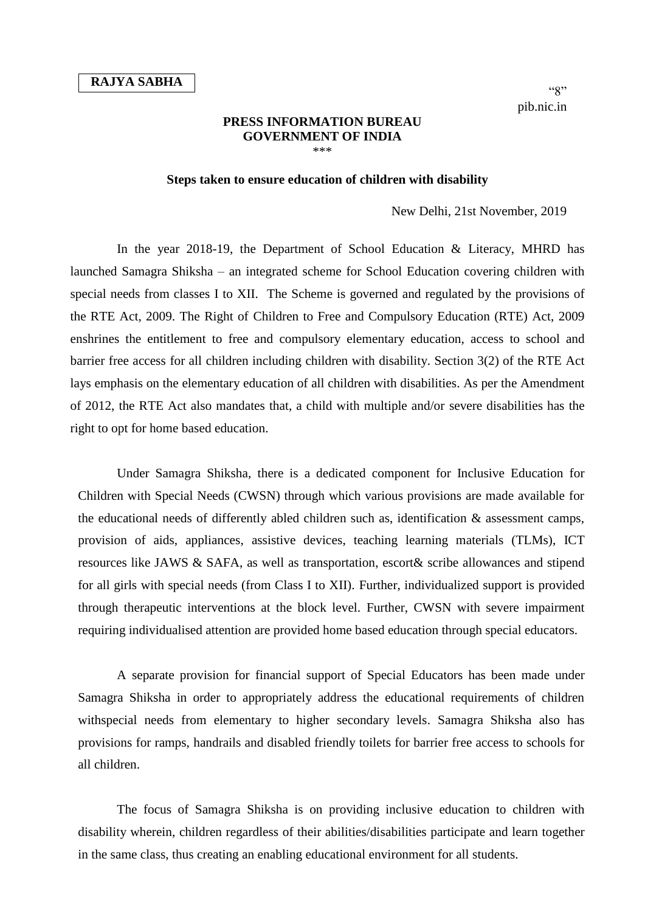## **PRESS INFORMATION BUREAU GOVERNMENT OF INDIA** \*\*\*

## **Steps taken to ensure education of children with disability**

## New Delhi, 21st November, 2019

In the year 2018-19, the Department of School Education & Literacy, MHRD has launched Samagra Shiksha – an integrated scheme for School Education covering children with special needs from classes I to XII. The Scheme is governed and regulated by the provisions of the RTE Act, 2009. The Right of Children to Free and Compulsory Education (RTE) Act, 2009 enshrines the entitlement to free and compulsory elementary education, access to school and barrier free access for all children including children with disability. Section 3(2) of the RTE Act lays emphasis on the elementary education of all children with disabilities. As per the Amendment of 2012, the RTE Act also mandates that, a child with multiple and/or severe disabilities has the right to opt for home based education.

Under Samagra Shiksha, there is a dedicated component for Inclusive Education for Children with Special Needs (CWSN) through which various provisions are made available for the educational needs of differently abled children such as, identification & assessment camps, provision of aids, appliances, assistive devices, teaching learning materials (TLMs), ICT resources like JAWS & SAFA, as well as transportation, escort& scribe allowances and stipend for all girls with special needs (from Class I to XII). Further, individualized support is provided through therapeutic interventions at the block level. Further, CWSN with severe impairment requiring individualised attention are provided home based education through special educators.

A separate provision for financial support of Special Educators has been made under Samagra Shiksha in order to appropriately address the educational requirements of children withspecial needs from elementary to higher secondary levels. Samagra Shiksha also has provisions for ramps, handrails and disabled friendly toilets for barrier free access to schools for all children.

The focus of Samagra Shiksha is on providing inclusive education to children with disability wherein, children regardless of their abilities/disabilities participate and learn together in the same class, thus creating an enabling educational environment for all students.